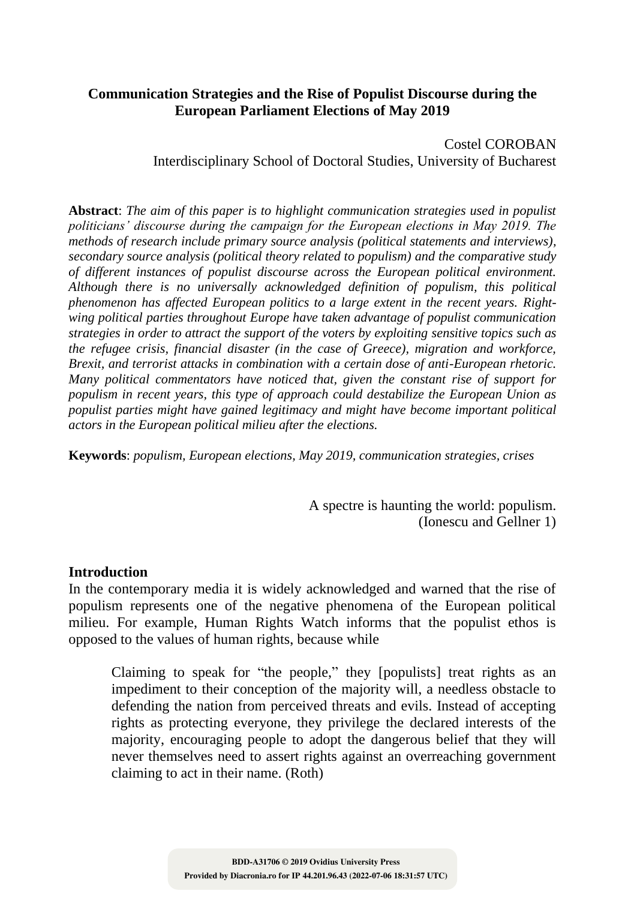# **Communication Strategies and the Rise of Populist Discourse during the European Parliament Elections of May 2019**

Costel COROBAN Interdisciplinary School of Doctoral Studies, University of Bucharest

**Abstract**: *The aim of this paper is to highlight communication strategies used in populist politicians' discourse during the campaign for the European elections in May 2019. The methods of research include primary source analysis (political statements and interviews), secondary source analysis (political theory related to populism) and the comparative study of different instances of populist discourse across the European political environment. Although there is no universally acknowledged definition of populism, this political phenomenon has affected European politics to a large extent in the recent years. Rightwing political parties throughout Europe have taken advantage of populist communication strategies in order to attract the support of the voters by exploiting sensitive topics such as the refugee crisis, financial disaster (in the case of Greece), migration and workforce, Brexit, and terrorist attacks in combination with a certain dose of anti-European rhetoric. Many political commentators have noticed that, given the constant rise of support for populism in recent years, this type of approach could destabilize the European Union as populist parties might have gained legitimacy and might have become important political actors in the European political milieu after the elections.*

**Keywords**: *populism, European elections, May 2019, communication strategies, crises*

A spectre is haunting the world: populism. (Ionescu and Gellner 1)

### **Introduction**

In the contemporary media it is widely acknowledged and warned that the rise of populism represents one of the negative phenomena of the European political milieu. For example, Human Rights Watch informs that the populist ethos is opposed to the values of human rights, because while

Claiming to speak for "the people," they [populists] treat rights as an impediment to their conception of the majority will, a needless obstacle to defending the nation from perceived threats and evils. Instead of accepting rights as protecting everyone, they privilege the declared interests of the majority, encouraging people to adopt the dangerous belief that they will never themselves need to assert rights against an overreaching government claiming to act in their name. (Roth)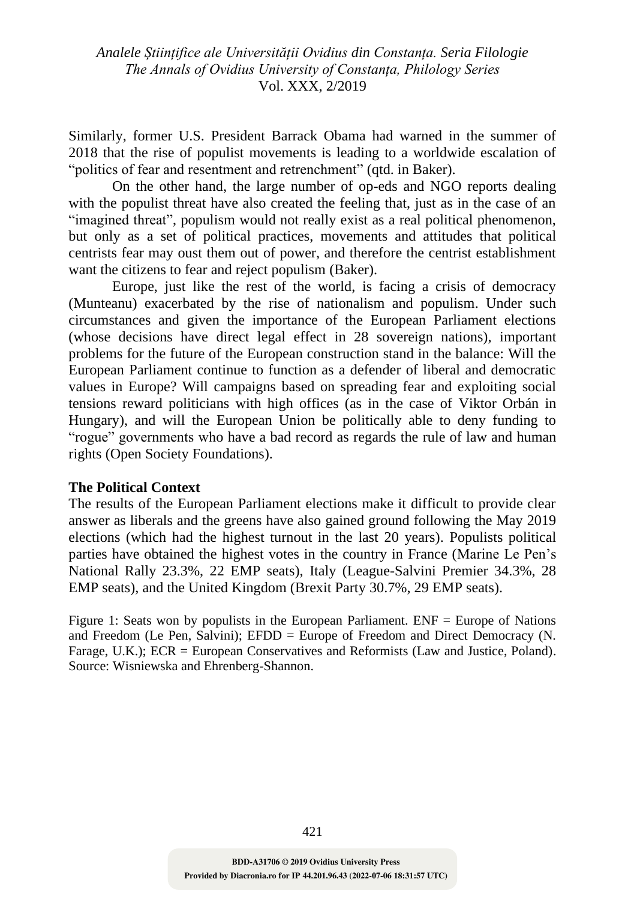Similarly, former U.S. President Barrack Obama had warned in the summer of 2018 that the rise of populist movements is leading to a worldwide escalation of "politics of fear and resentment and retrenchment" (qtd. in Baker).

On the other hand, the large number of op-eds and NGO reports dealing with the populist threat have also created the feeling that, just as in the case of an "imagined threat", populism would not really exist as a real political phenomenon, but only as a set of political practices, movements and attitudes that political centrists fear may oust them out of power, and therefore the centrist establishment want the citizens to fear and reject populism (Baker).

Europe, just like the rest of the world, is facing a crisis of democracy (Munteanu) exacerbated by the rise of nationalism and populism. Under such circumstances and given the importance of the European Parliament elections (whose decisions have direct legal effect in 28 sovereign nations), important problems for the future of the European construction stand in the balance: Will the European Parliament continue to function as a defender of liberal and democratic values in Europe? Will campaigns based on spreading fear and exploiting social tensions reward politicians with high offices (as in the case of Viktor Orbán in Hungary), and will the European Union be politically able to deny funding to "rogue" governments who have a bad record as regards the rule of law and human rights (Open Society Foundations).

### **The Political Context**

The results of the European Parliament elections make it difficult to provide clear answer as liberals and the greens have also gained ground following the May 2019 elections (which had the highest turnout in the last 20 years). Populists political parties have obtained the highest votes in the country in France (Marine Le Pen's National Rally 23.3%, 22 EMP seats), Italy (League-Salvini Premier 34.3%, 28 EMP seats), and the United Kingdom (Brexit Party 30.7%, 29 EMP seats).

Figure 1: Seats won by populists in the European Parliament. ENF = Europe of Nations and Freedom (Le Pen, Salvini); EFDD = Europe of Freedom and Direct Democracy (N. Farage, U.K.); ECR = European Conservatives and Reformists (Law and Justice, Poland). Source: Wisniewska and Ehrenberg-Shannon.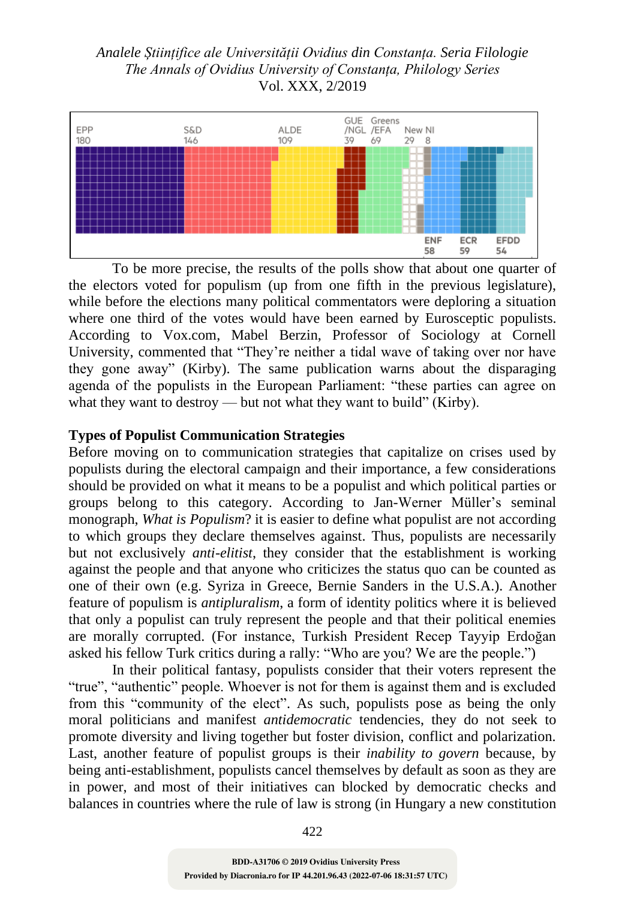

To be more precise, the results of the polls show that about one quarter of the electors voted for populism (up from one fifth in the previous legislature), while before the elections many political commentators were deploring a situation where one third of the votes would have been earned by Eurosceptic populists. According to Vox.com, Mabel Berzin, Professor of Sociology at Cornell University, commented that "They're neither a tidal wave of taking over nor have they gone away" (Kirby). The same publication warns about the disparaging agenda of the populists in the European Parliament: "these parties can agree on what they want to destroy — but not what they want to build" (Kirby).

### **Types of Populist Communication Strategies**

Before moving on to communication strategies that capitalize on crises used by populists during the electoral campaign and their importance, a few considerations should be provided on what it means to be a populist and which political parties or groups belong to this category. According to Jan-Werner Müller's seminal monograph, *What is Populism*? it is easier to define what populist are not according to which groups they declare themselves against. Thus, populists are necessarily but not exclusively *anti-elitist*, they consider that the establishment is working against the people and that anyone who criticizes the status quo can be counted as one of their own (e.g. Syriza in Greece, Bernie Sanders in the U.S.A.). Another feature of populism is *antipluralism*, a form of identity politics where it is believed that only a populist can truly represent the people and that their political enemies are morally corrupted. (For instance, Turkish President Recep Tayyip Erdoğan asked his fellow Turk critics during a rally: "Who are you? We are the people.")

In their political fantasy, populists consider that their voters represent the "true", "authentic" people. Whoever is not for them is against them and is excluded from this "community of the elect". As such, populists pose as being the only moral politicians and manifest *antidemocratic* tendencies, they do not seek to promote diversity and living together but foster division, conflict and polarization. Last, another feature of populist groups is their *inability to govern* because, by being anti-establishment, populists cancel themselves by default as soon as they are in power, and most of their initiatives can blocked by democratic checks and balances in countries where the rule of law is strong (in Hungary a new constitution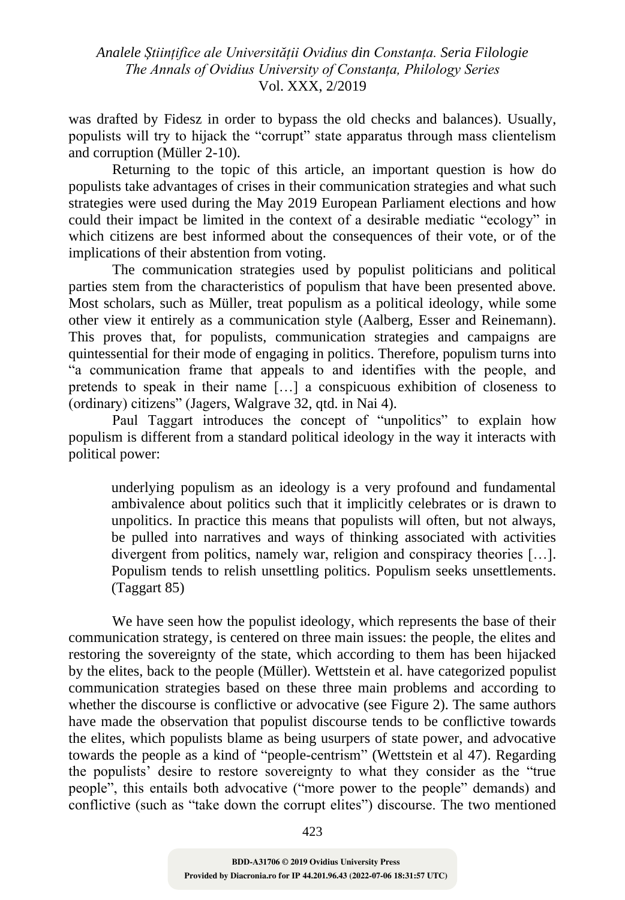was drafted by Fidesz in order to bypass the old checks and balances). Usually, populists will try to hijack the "corrupt" state apparatus through mass clientelism and corruption (Müller 2-10).

Returning to the topic of this article, an important question is how do populists take advantages of crises in their communication strategies and what such strategies were used during the May 2019 European Parliament elections and how could their impact be limited in the context of a desirable mediatic "ecology" in which citizens are best informed about the consequences of their vote, or of the implications of their abstention from voting.

The communication strategies used by populist politicians and political parties stem from the characteristics of populism that have been presented above. Most scholars, such as Müller, treat populism as a political ideology, while some other view it entirely as a communication style (Aalberg, Esser and Reinemann). This proves that, for populists, communication strategies and campaigns are quintessential for their mode of engaging in politics. Therefore, populism turns into "a communication frame that appeals to and identifies with the people, and pretends to speak in their name […] a conspicuous exhibition of closeness to (ordinary) citizens" (Jagers, Walgrave 32, qtd. in Nai 4).

Paul Taggart introduces the concept of "unpolitics" to explain how populism is different from a standard political ideology in the way it interacts with political power:

underlying populism as an ideology is a very profound and fundamental ambivalence about politics such that it implicitly celebrates or is drawn to unpolitics. In practice this means that populists will often, but not always, be pulled into narratives and ways of thinking associated with activities divergent from politics, namely war, religion and conspiracy theories […]. Populism tends to relish unsettling politics. Populism seeks unsettlements. (Taggart 85)

We have seen how the populist ideology, which represents the base of their communication strategy, is centered on three main issues: the people, the elites and restoring the sovereignty of the state, which according to them has been hijacked by the elites, back to the people (Müller). Wettstein et al. have categorized populist communication strategies based on these three main problems and according to whether the discourse is conflictive or advocative (see Figure 2). The same authors have made the observation that populist discourse tends to be conflictive towards the elites, which populists blame as being usurpers of state power, and advocative towards the people as a kind of "people-centrism" (Wettstein et al 47). Regarding the populists' desire to restore sovereignty to what they consider as the "true people", this entails both advocative ("more power to the people" demands) and conflictive (such as "take down the corrupt elites") discourse. The two mentioned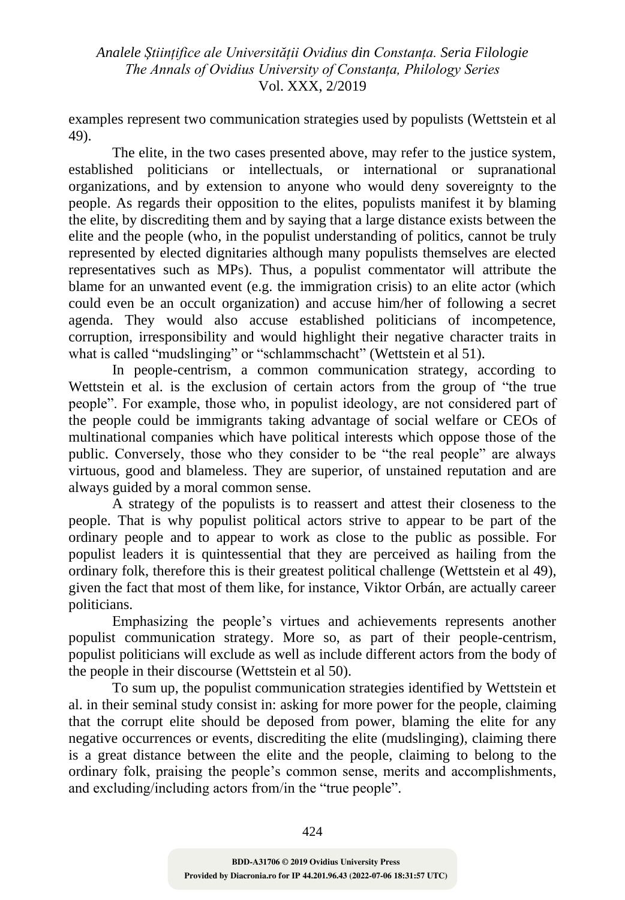examples represent two communication strategies used by populists (Wettstein et al 49).

The elite, in the two cases presented above, may refer to the justice system, established politicians or intellectuals, or international or supranational organizations, and by extension to anyone who would deny sovereignty to the people. As regards their opposition to the elites, populists manifest it by blaming the elite, by discrediting them and by saying that a large distance exists between the elite and the people (who, in the populist understanding of politics, cannot be truly represented by elected dignitaries although many populists themselves are elected representatives such as MPs). Thus, a populist commentator will attribute the blame for an unwanted event (e.g. the immigration crisis) to an elite actor (which could even be an occult organization) and accuse him/her of following a secret agenda. They would also accuse established politicians of incompetence, corruption, irresponsibility and would highlight their negative character traits in what is called "mudslinging" or "schlammschacht" (Wettstein et al 51).

In people-centrism, a common communication strategy, according to Wettstein et al. is the exclusion of certain actors from the group of "the true people". For example, those who, in populist ideology, are not considered part of the people could be immigrants taking advantage of social welfare or CEOs of multinational companies which have political interests which oppose those of the public. Conversely, those who they consider to be "the real people" are always virtuous, good and blameless. They are superior, of unstained reputation and are always guided by a moral common sense.

A strategy of the populists is to reassert and attest their closeness to the people. That is why populist political actors strive to appear to be part of the ordinary people and to appear to work as close to the public as possible. For populist leaders it is quintessential that they are perceived as hailing from the ordinary folk, therefore this is their greatest political challenge (Wettstein et al 49), given the fact that most of them like, for instance, Viktor Orbán, are actually career politicians.

Emphasizing the people's virtues and achievements represents another populist communication strategy. More so, as part of their people-centrism, populist politicians will exclude as well as include different actors from the body of the people in their discourse (Wettstein et al 50).

To sum up, the populist communication strategies identified by Wettstein et al. in their seminal study consist in: asking for more power for the people, claiming that the corrupt elite should be deposed from power, blaming the elite for any negative occurrences or events, discrediting the elite (mudslinging), claiming there is a great distance between the elite and the people, claiming to belong to the ordinary folk, praising the people's common sense, merits and accomplishments, and excluding/including actors from/in the "true people".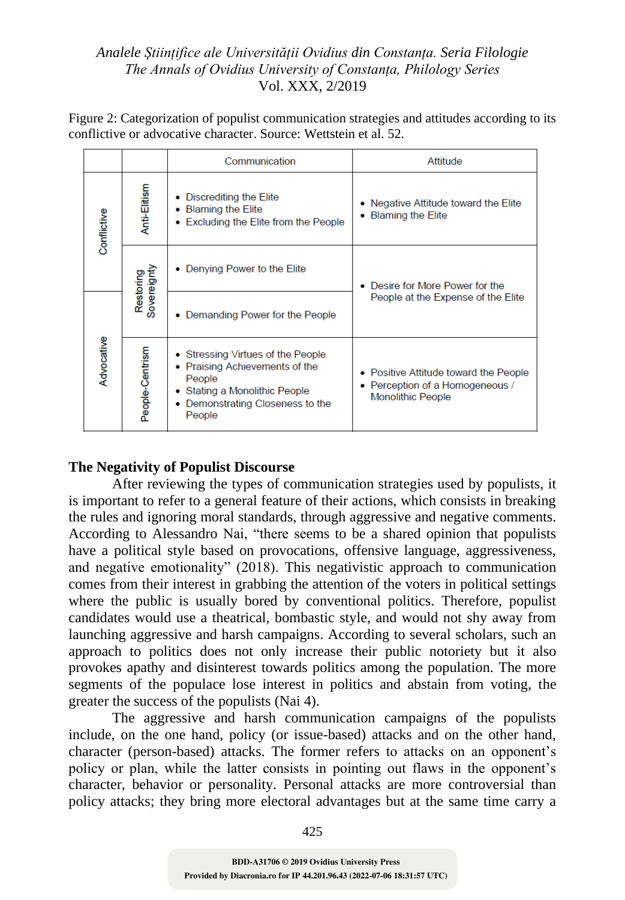Figure 2: Categorization of populist communication strategies and attitudes according to its conflictive or advocative character. Source: Wettstein et al. 52.

|             |                          | Communication                                                                                                                                                         | Attitude                                                                                             |
|-------------|--------------------------|-----------------------------------------------------------------------------------------------------------------------------------------------------------------------|------------------------------------------------------------------------------------------------------|
| Conflictive | Anti-Elitism             | Discrediting the Elite<br>۰<br><b>Blaming the Elite</b><br>۰<br>Excluding the Elite from the People<br>$\bullet$                                                      | • Negative Attitude toward the Elite<br>• Blaming the Elite                                          |
|             | Restoring<br>Sovereignty | Denying Power to the Elite                                                                                                                                            | Desire for More Power for the<br>People at the Expense of the Elite                                  |
| Advocative  |                          | Demanding Power for the People<br>۰                                                                                                                                   |                                                                                                      |
|             | People-Centrism          | • Stressing Virtues of the People<br>• Praising Achievements of the<br>People<br>Stating a Monolithic People<br>$\bullet$<br>Demonstrating Closeness to the<br>People | • Positive Attitude toward the People<br>• Perception of a Homogeneous /<br><b>Monolithic People</b> |

# **The Negativity of Populist Discourse**

After reviewing the types of communication strategies used by populists, it is important to refer to a general feature of their actions, which consists in breaking the rules and ignoring moral standards, through aggressive and negative comments. According to Alessandro Nai, "there seems to be a shared opinion that populists have a political style based on provocations, offensive language, aggressiveness, and negative emotionality" (2018). This negativistic approach to communication comes from their interest in grabbing the attention of the voters in political settings where the public is usually bored by conventional politics. Therefore, populist candidates would use a theatrical, bombastic style, and would not shy away from launching aggressive and harsh campaigns. According to several scholars, such an approach to politics does not only increase their public notoriety but it also provokes apathy and disinterest towards politics among the population. The more segments of the populace lose interest in politics and abstain from voting, the greater the success of the populists (Nai 4).

The aggressive and harsh communication campaigns of the populists include, on the one hand, policy (or issue-based) attacks and on the other hand, character (person-based) attacks. The former refers to attacks on an opponent's policy or plan, while the latter consists in pointing out flaws in the opponent's character, behavior or personality. Personal attacks are more controversial than policy attacks; they bring more electoral advantages but at the same time carry a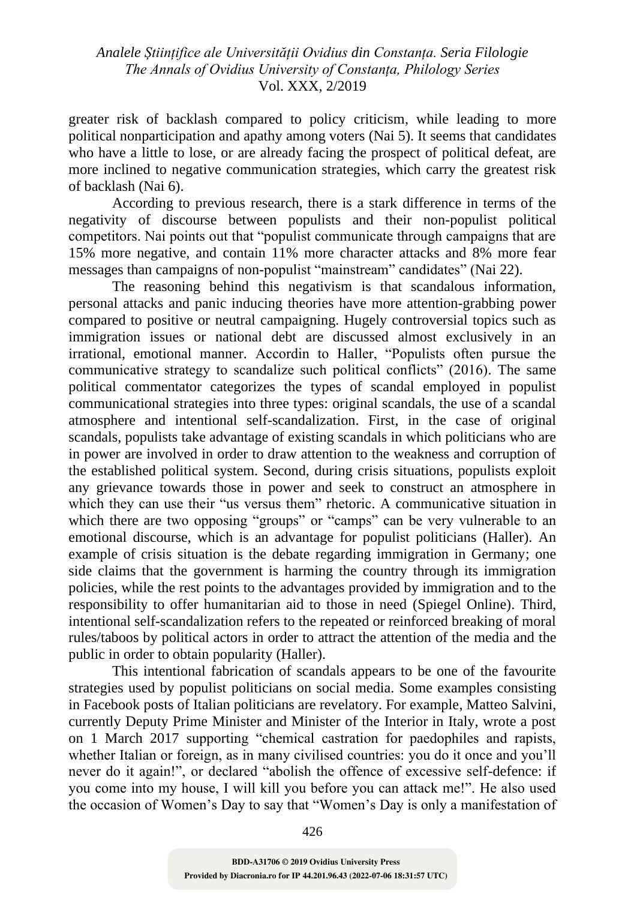greater risk of backlash compared to policy criticism, while leading to more political nonparticipation and apathy among voters (Nai 5). It seems that candidates who have a little to lose, or are already facing the prospect of political defeat, are more inclined to negative communication strategies, which carry the greatest risk of backlash (Nai 6).

According to previous research, there is a stark difference in terms of the negativity of discourse between populists and their non-populist political competitors. Nai points out that "populist communicate through campaigns that are 15% more negative, and contain 11% more character attacks and 8% more fear messages than campaigns of non-populist "mainstream" candidates" (Nai 22).

The reasoning behind this negativism is that scandalous information, personal attacks and panic inducing theories have more attention-grabbing power compared to positive or neutral campaigning. Hugely controversial topics such as immigration issues or national debt are discussed almost exclusively in an irrational, emotional manner. Accordin to Haller, "Populists often pursue the communicative strategy to scandalize such political conflicts" (2016). The same political commentator categorizes the types of scandal employed in populist communicational strategies into three types: original scandals, the use of a scandal atmosphere and intentional self-scandalization. First, in the case of original scandals, populists take advantage of existing scandals in which politicians who are in power are involved in order to draw attention to the weakness and corruption of the established political system. Second, during crisis situations, populists exploit any grievance towards those in power and seek to construct an atmosphere in which they can use their "us versus them" rhetoric. A communicative situation in which there are two opposing "groups" or "camps" can be very vulnerable to an emotional discourse, which is an advantage for populist politicians (Haller). An example of crisis situation is the debate regarding immigration in Germany; one side claims that the government is harming the country through its immigration policies, while the rest points to the advantages provided by immigration and to the responsibility to offer humanitarian aid to those in need (Spiegel Online). Third, intentional self-scandalization refers to the repeated or reinforced breaking of moral rules/taboos by political actors in order to attract the attention of the media and the public in order to obtain popularity (Haller).

This intentional fabrication of scandals appears to be one of the favourite strategies used by populist politicians on social media. Some examples consisting in Facebook posts of Italian politicians are revelatory. For example, Matteo Salvini, currently Deputy Prime Minister and Minister of the Interior in Italy, wrote a post on 1 March 2017 supporting "chemical castration for paedophiles and rapists, whether Italian or foreign, as in many civilised countries: you do it once and you'll never do it again!", or declared "abolish the offence of excessive self-defence: if you come into my house, I will kill you before you can attack me!". He also used the occasion of Women's Day to say that "Women's Day is only a manifestation of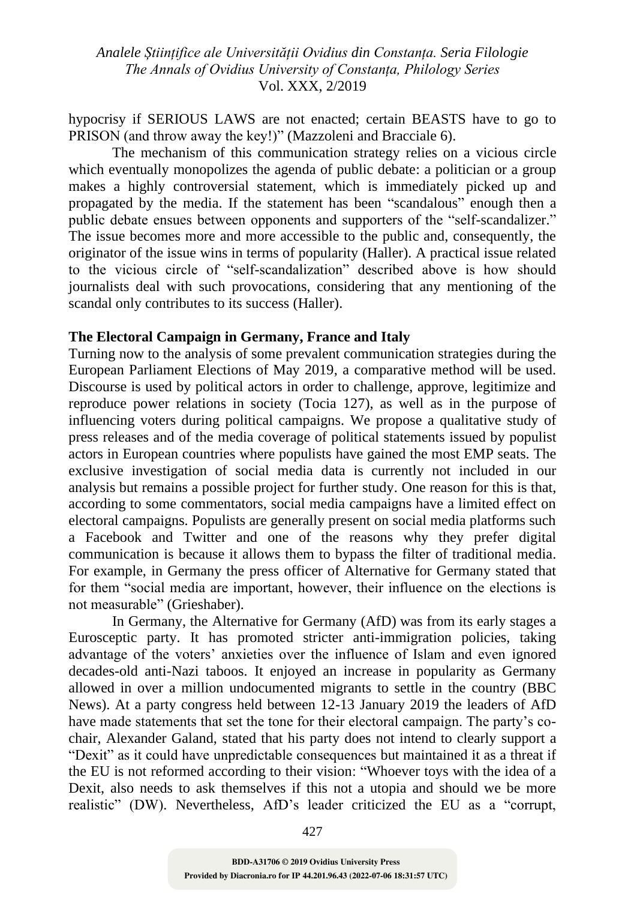hypocrisy if SERIOUS LAWS are not enacted; certain BEASTS have to go to PRISON (and throw away the key!)" (Mazzoleni and Bracciale 6).

The mechanism of this communication strategy relies on a vicious circle which eventually monopolizes the agenda of public debate: a politician or a group makes a highly controversial statement, which is immediately picked up and propagated by the media. If the statement has been "scandalous" enough then a public debate ensues between opponents and supporters of the "self-scandalizer." The issue becomes more and more accessible to the public and, consequently, the originator of the issue wins in terms of popularity (Haller). A practical issue related to the vicious circle of "self-scandalization" described above is how should journalists deal with such provocations, considering that any mentioning of the scandal only contributes to its success (Haller).

#### **The Electoral Campaign in Germany, France and Italy**

Turning now to the analysis of some prevalent communication strategies during the European Parliament Elections of May 2019, a comparative method will be used. Discourse is used by political actors in order to challenge, approve, legitimize and reproduce power relations in society (Tocia 127), as well as in the purpose of influencing voters during political campaigns. We propose a qualitative study of press releases and of the media coverage of political statements issued by populist actors in European countries where populists have gained the most EMP seats. The exclusive investigation of social media data is currently not included in our analysis but remains a possible project for further study. One reason for this is that, according to some commentators, social media campaigns have a limited effect on electoral campaigns. Populists are generally present on social media platforms such a Facebook and Twitter and one of the reasons why they prefer digital communication is because it allows them to bypass the filter of traditional media. For example, in Germany the press officer of Alternative for Germany stated that for them "social media are important, however, their influence on the elections is not measurable" (Grieshaber).

In Germany, the Alternative for Germany (AfD) was from its early stages a Eurosceptic party. It has promoted stricter anti-immigration policies, taking advantage of the voters' anxieties over the influence of Islam and even ignored decades-old anti-Nazi taboos. It enjoyed an increase in popularity as Germany allowed in over a million undocumented migrants to settle in the country (BBC News). At a party congress held between 12-13 January 2019 the leaders of AfD have made statements that set the tone for their electoral campaign. The party's cochair, Alexander Galand, stated that his party does not intend to clearly support a "Dexit" as it could have unpredictable consequences but maintained it as a threat if the EU is not reformed according to their vision: "Whoever toys with the idea of a Dexit, also needs to ask themselves if this not a utopia and should we be more realistic" (DW). Nevertheless, AfD's leader criticized the EU as a "corrupt,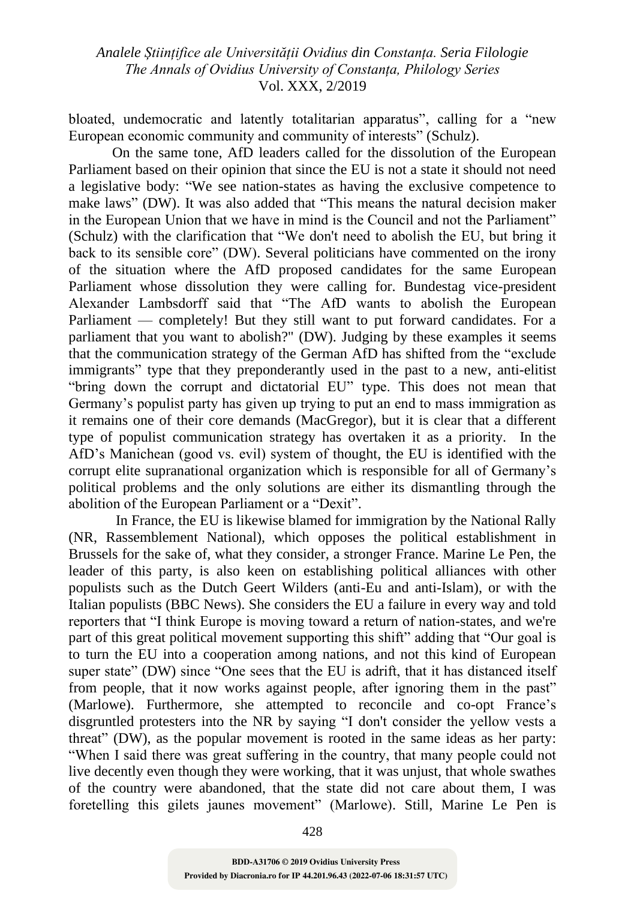bloated, undemocratic and latently totalitarian apparatus", calling for a "new European economic community and community of interests" (Schulz).

On the same tone, AfD leaders called for the dissolution of the European Parliament based on their opinion that since the EU is not a state it should not need a legislative body: "We see nation-states as having the exclusive competence to make laws" (DW). It was also added that "This means the natural decision maker in the European Union that we have in mind is the Council and not the Parliament" (Schulz) with the clarification that "We don't need to abolish the EU, but bring it back to its sensible core" (DW). Several politicians have commented on the irony of the situation where the AfD proposed candidates for the same European Parliament whose dissolution they were calling for. Bundestag vice-president Alexander Lambsdorff said that "The AfD wants to abolish the European Parliament — completely! But they still want to put forward candidates. For a parliament that you want to abolish?" (DW). Judging by these examples it seems that the communication strategy of the German AfD has shifted from the "exclude immigrants" type that they preponderantly used in the past to a new, anti-elitist "bring down the corrupt and dictatorial EU" type. This does not mean that Germany's populist party has given up trying to put an end to mass immigration as it remains one of their core demands (MacGregor), but it is clear that a different type of populist communication strategy has overtaken it as a priority. In the AfD's Manichean (good vs. evil) system of thought, the EU is identified with the corrupt elite supranational organization which is responsible for all of Germany's political problems and the only solutions are either its dismantling through the abolition of the European Parliament or a "Dexit".

In France, the EU is likewise blamed for immigration by the National Rally (NR, Rassemblement National), which opposes the political establishment in Brussels for the sake of, what they consider, a stronger France. Marine Le Pen, the leader of this party, is also keen on establishing political alliances with other populists such as the Dutch Geert Wilders (anti-Eu and anti-Islam), or with the Italian populists (BBC News). She considers the EU a failure in every way and told reporters that "I think Europe is moving toward a return of nation-states, and we're part of this great political movement supporting this shift" adding that "Our goal is to turn the EU into a cooperation among nations, and not this kind of European super state" (DW) since "One sees that the EU is adrift, that it has distanced itself from people, that it now works against people, after ignoring them in the past" (Marlowe). Furthermore, she attempted to reconcile and co-opt France's disgruntled protesters into the NR by saying "I don't consider the yellow vests a threat" (DW), as the popular movement is rooted in the same ideas as her party: "When I said there was great suffering in the country, that many people could not live decently even though they were working, that it was unjust, that whole swathes of the country were abandoned, that the state did not care about them, I was foretelling this gilets jaunes movement" (Marlowe). Still, Marine Le Pen is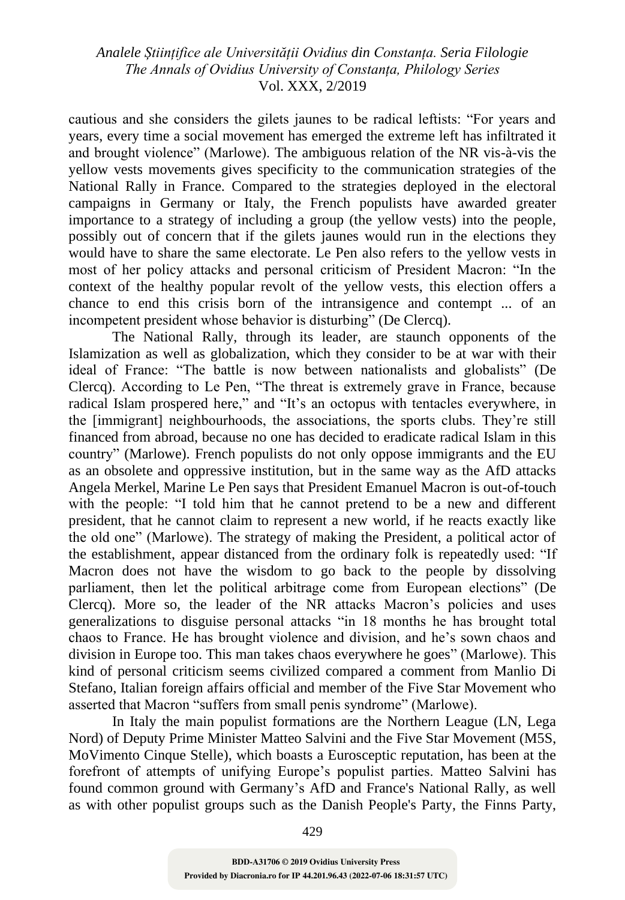cautious and she considers the gilets jaunes to be radical leftists: "For years and years, every time a social movement has emerged the extreme left has infiltrated it and brought violence" (Marlowe). The ambiguous relation of the NR vis-à-vis the yellow vests movements gives specificity to the communication strategies of the National Rally in France. Compared to the strategies deployed in the electoral campaigns in Germany or Italy, the French populists have awarded greater importance to a strategy of including a group (the yellow vests) into the people, possibly out of concern that if the gilets jaunes would run in the elections they would have to share the same electorate. Le Pen also refers to the yellow vests in most of her policy attacks and personal criticism of President Macron: "In the context of the healthy popular revolt of the yellow vests, this election offers a chance to end this crisis born of the intransigence and contempt ... of an incompetent president whose behavior is disturbing" (De Clercq).

The National Rally, through its leader, are staunch opponents of the Islamization as well as globalization, which they consider to be at war with their ideal of France: "The battle is now between nationalists and globalists" (De Clercq). According to Le Pen, "The threat is extremely grave in France, because radical Islam prospered here," and "It's an octopus with tentacles everywhere, in the [immigrant] neighbourhoods, the associations, the sports clubs. They're still financed from abroad, because no one has decided to eradicate radical Islam in this country" (Marlowe). French populists do not only oppose immigrants and the EU as an obsolete and oppressive institution, but in the same way as the AfD attacks Angela Merkel, Marine Le Pen says that President Emanuel Macron is out-of-touch with the people: "I told him that he cannot pretend to be a new and different president, that he cannot claim to represent a new world, if he reacts exactly like the old one" (Marlowe). The strategy of making the President, a political actor of the establishment, appear distanced from the ordinary folk is repeatedly used: "If Macron does not have the wisdom to go back to the people by dissolving parliament, then let the political arbitrage come from European elections" (De Clercq). More so, the leader of the NR attacks Macron's policies and uses generalizations to disguise personal attacks "in 18 months he has brought total chaos to France. He has brought violence and division, and he's sown chaos and division in Europe too. This man takes chaos everywhere he goes" (Marlowe). This kind of personal criticism seems civilized compared a comment from Manlio Di Stefano, Italian foreign affairs official and member of the Five Star Movement who asserted that Macron "suffers from small penis syndrome" (Marlowe).

In Italy the main populist formations are the Northern League (LN, Lega Nord) of Deputy Prime Minister Matteo Salvini and the Five Star Movement (M5S, MoVimento Cinque Stelle), which boasts a Eurosceptic reputation, has been at the forefront of attempts of unifying Europe's populist parties. Matteo Salvini has found common ground with Germany's AfD and France's National Rally, as well as with other populist groups such as the Danish People's Party, the Finns Party,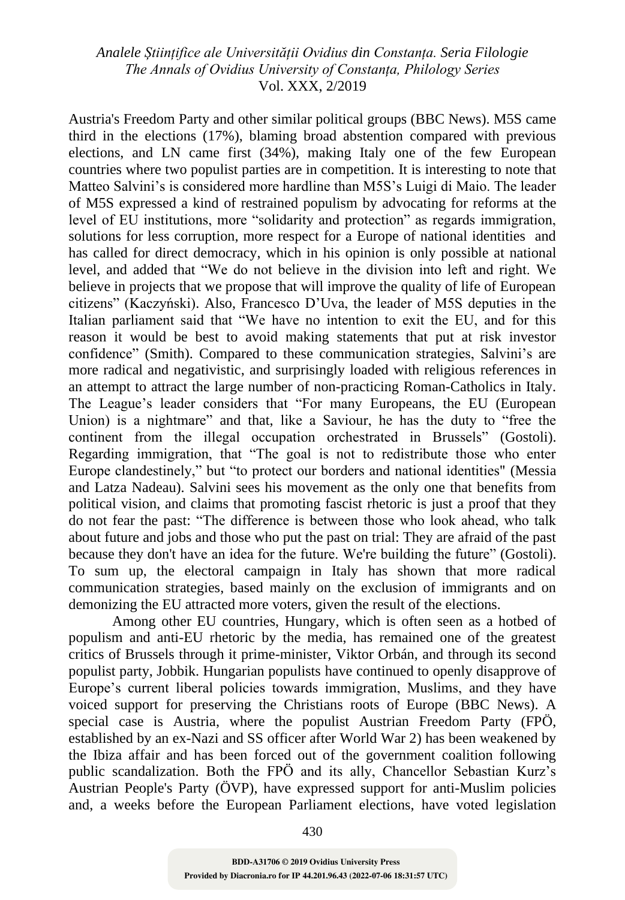Austria's Freedom Party and other similar political groups (BBC News). M5S came third in the elections (17%), blaming broad abstention compared with previous elections, and LN came first (34%), making Italy one of the few European countries where two populist parties are in competition. It is interesting to note that Matteo Salvini's is considered more hardline than M5S's Luigi di Maio. The leader of M5S expressed a kind of restrained populism by advocating for reforms at the level of EU institutions, more "solidarity and protection" as regards immigration, solutions for less corruption, more respect for a Europe of national identities and has called for direct democracy, which in his opinion is only possible at national level, and added that "We do not believe in the division into left and right. We believe in projects that we propose that will improve the quality of life of European citizens" (Kaczyński). Also, Francesco D'Uva, the leader of M5S deputies in the Italian parliament said that "We have no intention to exit the EU, and for this reason it would be best to avoid making statements that put at risk investor confidence" (Smith). Compared to these communication strategies, Salvini's are more radical and negativistic, and surprisingly loaded with religious references in an attempt to attract the large number of non-practicing Roman-Catholics in Italy. The League's leader considers that "For many Europeans, the EU (European Union) is a nightmare" and that, like a Saviour, he has the duty to "free the continent from the illegal occupation orchestrated in Brussels" (Gostoli). Regarding immigration, that "The goal is not to redistribute those who enter Europe clandestinely," but "to protect our borders and national identities" (Messia and Latza Nadeau). Salvini sees his movement as the only one that benefits from political vision, and claims that promoting fascist rhetoric is just a proof that they do not fear the past: "The difference is between those who look ahead, who talk about future and jobs and those who put the past on trial: They are afraid of the past because they don't have an idea for the future. We're building the future" (Gostoli). To sum up, the electoral campaign in Italy has shown that more radical communication strategies, based mainly on the exclusion of immigrants and on demonizing the EU attracted more voters, given the result of the elections.

Among other EU countries, Hungary, which is often seen as a hotbed of populism and anti-EU rhetoric by the media, has remained one of the greatest critics of Brussels through it prime-minister, Viktor Orbán, and through its second populist party, Jobbik. Hungarian populists have continued to openly disapprove of Europe's current liberal policies towards immigration, Muslims, and they have voiced support for preserving the Christians roots of Europe (BBC News). A special case is Austria, where the populist Austrian Freedom Party (FPÖ, established by an ex-Nazi and SS officer after World War 2) has been weakened by the Ibiza affair and has been forced out of the government coalition following public scandalization. Both the FPÖ and its ally, Chancellor Sebastian Kurz's Austrian People's Party (ÖVP), have expressed support for anti-Muslim policies and, a weeks before the European Parliament elections, have voted legislation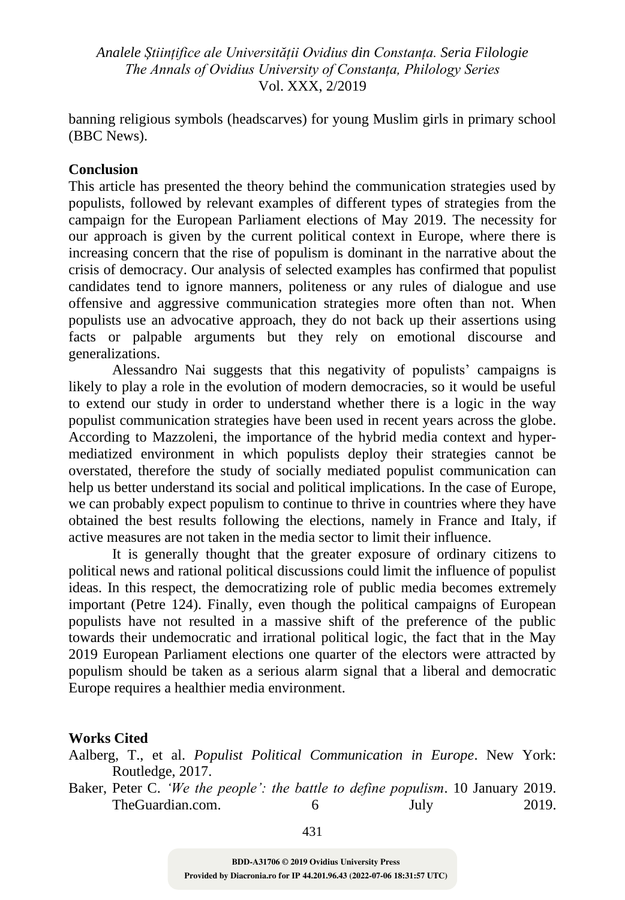banning religious symbols (headscarves) for young Muslim girls in primary school (BBC News).

### **Conclusion**

This article has presented the theory behind the communication strategies used by populists, followed by relevant examples of different types of strategies from the campaign for the European Parliament elections of May 2019. The necessity for our approach is given by the current political context in Europe, where there is increasing concern that the rise of populism is dominant in the narrative about the crisis of democracy. Our analysis of selected examples has confirmed that populist candidates tend to ignore manners, politeness or any rules of dialogue and use offensive and aggressive communication strategies more often than not. When populists use an advocative approach, they do not back up their assertions using facts or palpable arguments but they rely on emotional discourse and generalizations.

Alessandro Nai suggests that this negativity of populists' campaigns is likely to play a role in the evolution of modern democracies, so it would be useful to extend our study in order to understand whether there is a logic in the way populist communication strategies have been used in recent years across the globe. According to Mazzoleni, the importance of the hybrid media context and hypermediatized environment in which populists deploy their strategies cannot be overstated, therefore the study of socially mediated populist communication can help us better understand its social and political implications. In the case of Europe, we can probably expect populism to continue to thrive in countries where they have obtained the best results following the elections, namely in France and Italy, if active measures are not taken in the media sector to limit their influence.

It is generally thought that the greater exposure of ordinary citizens to political news and rational political discussions could limit the influence of populist ideas. In this respect, the democratizing role of public media becomes extremely important (Petre 124). Finally, even though the political campaigns of European populists have not resulted in a massive shift of the preference of the public towards their undemocratic and irrational political logic, the fact that in the May 2019 European Parliament elections one quarter of the electors were attracted by populism should be taken as a serious alarm signal that a liberal and democratic Europe requires a healthier media environment.

#### **Works Cited**

- Aalberg, T., et al. *Populist Political Communication in Europe*. New York: Routledge, 2017.
- Baker, Peter C. *'We the people': the battle to define populism*. 10 January 2019. TheGuardian.com. 6 July 2019.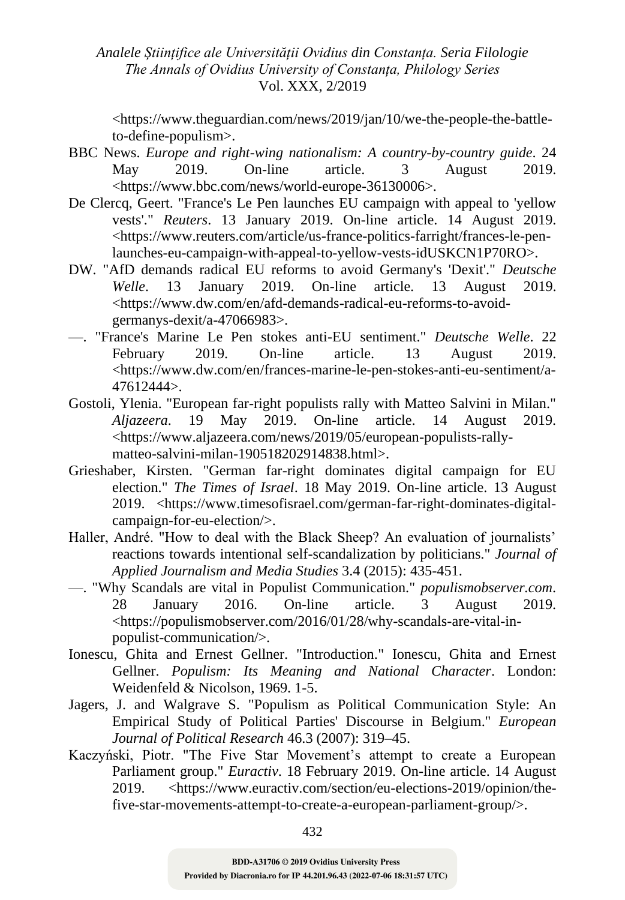<https://www.theguardian.com/news/2019/jan/10/we-the-people-the-battleto-define-populism>.

- BBC News. *Europe and right-wing nationalism: A country-by-country guide*. 24 May 2019. On-line article. 3 August 2019. <https://www.bbc.com/news/world-europe-36130006>.
- De Clercq, Geert. "France's Le Pen launches EU campaign with appeal to 'yellow vests'." *Reuters*. 13 January 2019. On-line article. 14 August 2019. <https://www.reuters.com/article/us-france-politics-farright/frances-le-penlaunches-eu-campaign-with-appeal-to-yellow-vests-idUSKCN1P70RO>.
- DW. "AfD demands radical EU reforms to avoid Germany's 'Dexit'." *Deutsche Welle*. 13 January 2019. On-line article. 13 August 2019. <https://www.dw.com/en/afd-demands-radical-eu-reforms-to-avoidgermanys-dexit/a-47066983>.
- —. "France's Marine Le Pen stokes anti-EU sentiment." *Deutsche Welle*. 22 February 2019. On-line article. 13 August 2019. <https://www.dw.com/en/frances-marine-le-pen-stokes-anti-eu-sentiment/a-47612444>.
- Gostoli, Ylenia. "European far-right populists rally with Matteo Salvini in Milan." *Aljazeera*. 19 May 2019. On-line article. 14 August 2019. <https://www.aljazeera.com/news/2019/05/european-populists-rallymatteo-salvini-milan-190518202914838.html>.
- Grieshaber, Kirsten. "German far-right dominates digital campaign for EU election." *The Times of Israel*. 18 May 2019. On-line article. 13 August 2019. <https://www.timesofisrael.com/german-far-right-dominates-digitalcampaign-for-eu-election/>.
- Haller, André. "How to deal with the Black Sheep? An evaluation of journalists' reactions towards intentional self-scandalization by politicians." *Journal of Applied Journalism and Media Studies* 3.4 (2015): 435-451.
- —. "Why Scandals are vital in Populist Communication." *populismobserver.com*. 28 January 2016. On-line article. 3 August 2019. <https://populismobserver.com/2016/01/28/why-scandals-are-vital-inpopulist-communication/>.
- Ionescu, Ghita and Ernest Gellner. "Introduction." Ionescu, Ghita and Ernest Gellner. *Populism: Its Meaning and National Character*. London: Weidenfeld & Nicolson, 1969. 1-5.
- Jagers, J. and Walgrave S. "Populism as Political Communication Style: An Empirical Study of Political Parties' Discourse in Belgium." *European Journal of Political Research* 46.3 (2007): 319–45.
- Kaczyński, Piotr. "The Five Star Movement's attempt to create a European Parliament group." *Euractiv*. 18 February 2019. On-line article. 14 August 2019. <https://www.euractiv.com/section/eu-elections-2019/opinion/thefive-star-movements-attempt-to-create-a-european-parliament-group/>.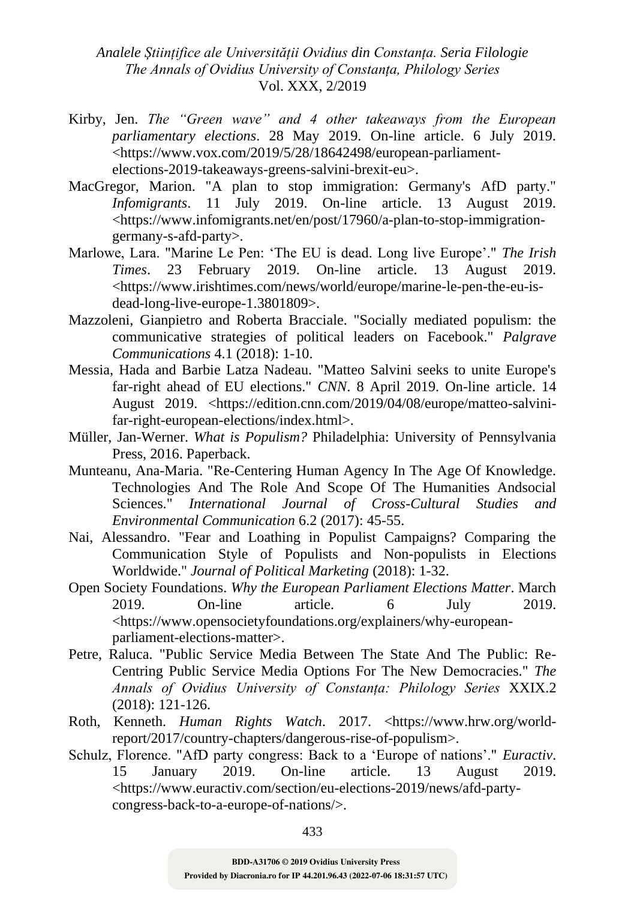- Kirby, Jen. *The "Green wave" and 4 other takeaways from the European parliamentary elections*. 28 May 2019. On-line article. 6 July 2019. <https://www.vox.com/2019/5/28/18642498/european-parliamentelections-2019-takeaways-greens-salvini-brexit-eu>.
- MacGregor, Marion. "A plan to stop immigration: Germany's AfD party." *Infomigrants*. 11 July 2019. On-line article. 13 August 2019. <https://www.infomigrants.net/en/post/17960/a-plan-to-stop-immigrationgermany-s-afd-party>.
- Marlowe, Lara. "Marine Le Pen: 'The EU is dead. Long live Europe'." *The Irish Times*. 23 February 2019. On-line article. 13 August 2019. <https://www.irishtimes.com/news/world/europe/marine-le-pen-the-eu-isdead-long-live-europe-1.3801809>.
- Mazzoleni, Gianpietro and Roberta Bracciale. "Socially mediated populism: the communicative strategies of political leaders on Facebook." *Palgrave Communications* 4.1 (2018): 1-10.
- Messia, Hada and Barbie Latza Nadeau. "Matteo Salvini seeks to unite Europe's far-right ahead of EU elections." *CNN*. 8 April 2019. On-line article. 14 August 2019. <https://edition.cnn.com/2019/04/08/europe/matteo-salvinifar-right-european-elections/index.html>.
- Müller, Jan-Werner. *What is Populism?* Philadelphia: University of Pennsylvania Press, 2016. Paperback.
- Munteanu, Ana-Maria. "Re-Centering Human Agency In The Age Of Knowledge. Technologies And The Role And Scope Of The Humanities Andsocial Sciences." *International Journal of Cross-Cultural Studies and Environmental Communication* 6.2 (2017): 45-55.
- Nai, Alessandro. "Fear and Loathing in Populist Campaigns? Comparing the Communication Style of Populists and Non-populists in Elections Worldwide." *Journal of Political Marketing* (2018): 1-32.
- Open Society Foundations. *Why the European Parliament Elections Matter*. March 2019. On-line article. 6 July 2019. <https://www.opensocietyfoundations.org/explainers/why-europeanparliament-elections-matter>.
- Petre, Raluca. "Public Service Media Between The State And The Public: Re-Centring Public Service Media Options For The New Democracies." *The Annals of Ovidius University of Constanța: Philology Series* XXIX.2 (2018): 121-126.
- Roth, Kenneth. *Human Rights Watch*. 2017. <https://www.hrw.org/worldreport/2017/country-chapters/dangerous-rise-of-populism>.
- Schulz, Florence. "AfD party congress: Back to a 'Europe of nations'." *Euractiv*. 15 January 2019. On-line article. 13 August 2019. <https://www.euractiv.com/section/eu-elections-2019/news/afd-partycongress-back-to-a-europe-of-nations/>.